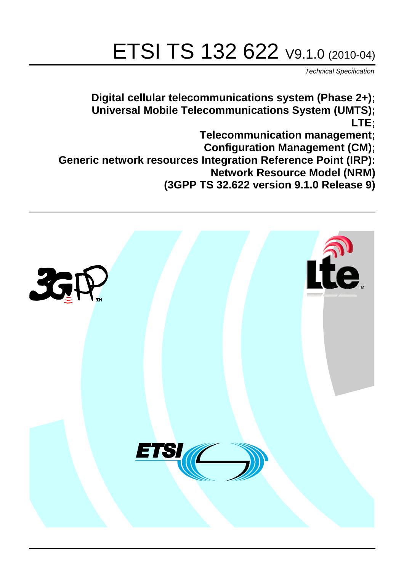# ETSI TS 132 622 V9.1.0 (2010-04)

*Technical Specification*

**Digital cellular telecommunications system (Phase 2+); Universal Mobile Telecommunications System (UMTS); LTE; Telecommunication management; Configuration Management (CM); Generic network resources Integration Reference Point (IRP): Network Resource Model (NRM) (3GPP TS 32.622 version 9.1.0 Release 9)**

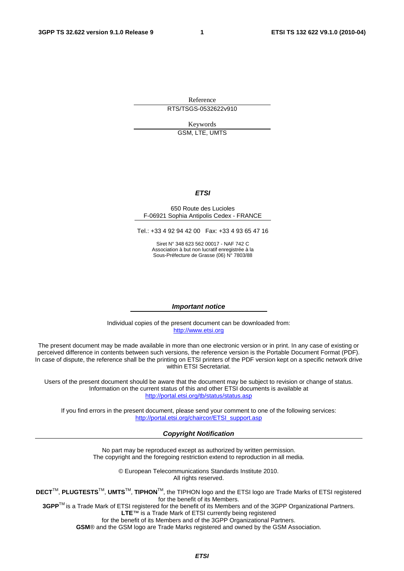Reference RTS/TSGS-0532622v910

Keywords

GSM, LTE, UMTS

#### *ETSI*

#### 650 Route des Lucioles F-06921 Sophia Antipolis Cedex - FRANCE

Tel.: +33 4 92 94 42 00 Fax: +33 4 93 65 47 16

Siret N° 348 623 562 00017 - NAF 742 C Association à but non lucratif enregistrée à la Sous-Préfecture de Grasse (06) N° 7803/88

#### *Important notice*

Individual copies of the present document can be downloaded from: [http://www.etsi.org](http://www.etsi.org/)

The present document may be made available in more than one electronic version or in print. In any case of existing or perceived difference in contents between such versions, the reference version is the Portable Document Format (PDF). In case of dispute, the reference shall be the printing on ETSI printers of the PDF version kept on a specific network drive within ETSI Secretariat.

Users of the present document should be aware that the document may be subject to revision or change of status. Information on the current status of this and other ETSI documents is available at <http://portal.etsi.org/tb/status/status.asp>

If you find errors in the present document, please send your comment to one of the following services: [http://portal.etsi.org/chaircor/ETSI\\_support.asp](http://portal.etsi.org/chaircor/ETSI_support.asp)

#### *Copyright Notification*

No part may be reproduced except as authorized by written permission. The copyright and the foregoing restriction extend to reproduction in all media.

> © European Telecommunications Standards Institute 2010. All rights reserved.

**DECT**TM, **PLUGTESTS**TM, **UMTS**TM, **TIPHON**TM, the TIPHON logo and the ETSI logo are Trade Marks of ETSI registered for the benefit of its Members.

**3GPP**TM is a Trade Mark of ETSI registered for the benefit of its Members and of the 3GPP Organizational Partners. **LTE**™ is a Trade Mark of ETSI currently being registered

for the benefit of its Members and of the 3GPP Organizational Partners.

**GSM**® and the GSM logo are Trade Marks registered and owned by the GSM Association.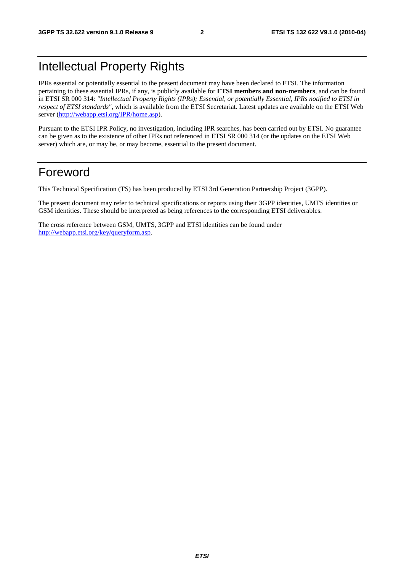# Intellectual Property Rights

IPRs essential or potentially essential to the present document may have been declared to ETSI. The information pertaining to these essential IPRs, if any, is publicly available for **ETSI members and non-members**, and can be found in ETSI SR 000 314: *"Intellectual Property Rights (IPRs); Essential, or potentially Essential, IPRs notified to ETSI in respect of ETSI standards"*, which is available from the ETSI Secretariat. Latest updates are available on the ETSI Web server [\(http://webapp.etsi.org/IPR/home.asp\)](http://webapp.etsi.org/IPR/home.asp).

Pursuant to the ETSI IPR Policy, no investigation, including IPR searches, has been carried out by ETSI. No guarantee can be given as to the existence of other IPRs not referenced in ETSI SR 000 314 (or the updates on the ETSI Web server) which are, or may be, or may become, essential to the present document.

### Foreword

This Technical Specification (TS) has been produced by ETSI 3rd Generation Partnership Project (3GPP).

The present document may refer to technical specifications or reports using their 3GPP identities, UMTS identities or GSM identities. These should be interpreted as being references to the corresponding ETSI deliverables.

The cross reference between GSM, UMTS, 3GPP and ETSI identities can be found under [http://webapp.etsi.org/key/queryform.asp.](http://webapp.etsi.org/key/queryform.asp)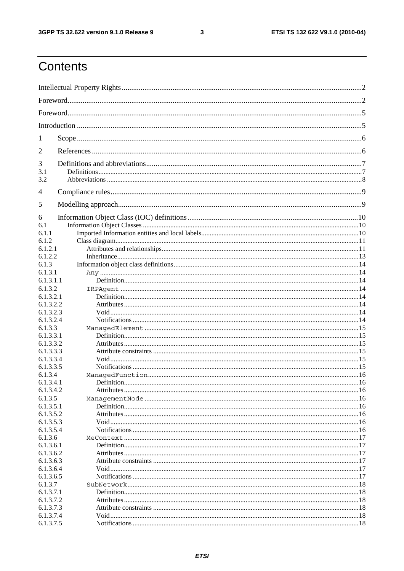#### $\mathbf{3}$

# Contents

| 1                      |  |
|------------------------|--|
| 2                      |  |
| 3                      |  |
| 3.1<br>3.2             |  |
|                        |  |
| $\overline{4}$         |  |
| 5                      |  |
| 6                      |  |
| 6.1                    |  |
| 6.1.1                  |  |
| 6.1.2                  |  |
| 6.1.2.1                |  |
| 6.1.2.2                |  |
| 6.1.3                  |  |
| 6.1.3.1                |  |
| 6.1.3.1.1              |  |
| 6.1.3.2                |  |
| 6.1.3.2.1              |  |
| 6.1.3.2.2              |  |
| 6.1.3.2.3<br>6.1.3.2.4 |  |
| 6.1.3.3                |  |
| 6.1.3.3.1              |  |
| 6.1.3.3.2              |  |
| 6.1.3.3.3              |  |
| 6.1.3.3.4              |  |
| 6.1.3.3.5              |  |
| 6.1.3.4                |  |
| 6.1.3.4.1              |  |
| 6.1.3.4.2              |  |
| 6.1.3.5                |  |
| 6.1.3.5.1              |  |
| 6.1.3.5.2              |  |
| 6.1.3.5.3              |  |
| 6.1.3.5.4              |  |
| 6.1.3.6                |  |
| 6.1.3.6.1              |  |
| 6.1.3.6.2              |  |
| 6.1.3.6.3              |  |
| 6.1.3.6.4              |  |
| 6.1.3.6.5              |  |
| 6.1.3.7                |  |
| 6.1.3.7.1              |  |
| 6.1.3.7.2              |  |
| 6.1.3.7.3              |  |
| 6.1.3.7.4              |  |
| 6.1.3.7.5              |  |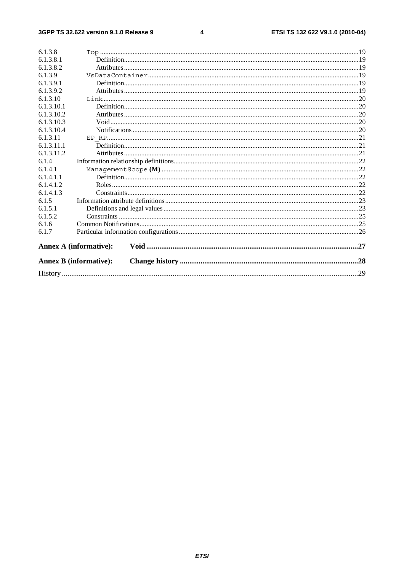#### $\overline{\mathbf{4}}$

| 6.1.3.8    |                               |  |
|------------|-------------------------------|--|
| 6.1.3.8.1  |                               |  |
| 6.1.3.8.2  |                               |  |
| 6.1.3.9    |                               |  |
| 6.1.3.9.1  |                               |  |
| 6.1.3.9.2  |                               |  |
| 6.1.3.10   |                               |  |
| 6.1.3.10.1 |                               |  |
| 6.1.3.10.2 |                               |  |
| 6.1.3.10.3 |                               |  |
| 6.1.3.10.4 |                               |  |
| 6.1.3.11   |                               |  |
| 6.1.3.11.1 |                               |  |
| 6.1.3.11.2 |                               |  |
| 6.1.4      |                               |  |
| 6.1.4.1    |                               |  |
| 6.1.4.1.1  |                               |  |
| 6.1.4.1.2  |                               |  |
| 6.1.4.1.3  |                               |  |
| 6.1.5      |                               |  |
| 6.1.5.1    |                               |  |
| 6.1.5.2    |                               |  |
| 6.1.6      |                               |  |
| 6.1.7      |                               |  |
|            |                               |  |
|            | <b>Annex A (informative):</b> |  |
|            | <b>Annex B</b> (informative): |  |
|            |                               |  |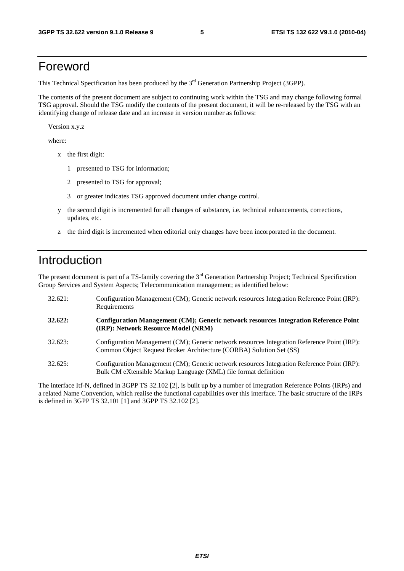### Foreword

This Technical Specification has been produced by the 3<sup>rd</sup> Generation Partnership Project (3GPP).

The contents of the present document are subject to continuing work within the TSG and may change following formal TSG approval. Should the TSG modify the contents of the present document, it will be re-released by the TSG with an identifying change of release date and an increase in version number as follows:

Version x.y.z

where:

- x the first digit:
	- 1 presented to TSG for information;
	- 2 presented to TSG for approval;
	- 3 or greater indicates TSG approved document under change control.
- y the second digit is incremented for all changes of substance, i.e. technical enhancements, corrections, updates, etc.
- z the third digit is incremented when editorial only changes have been incorporated in the document.

## Introduction

The present document is part of a TS-family covering the 3<sup>rd</sup> Generation Partnership Project; Technical Specification Group Services and System Aspects; Telecommunication management; as identified below:

| 32.621: | Configuration Management (CM); Generic network resources Integration Reference Point (IRP):<br>Requirements                                                        |
|---------|--------------------------------------------------------------------------------------------------------------------------------------------------------------------|
| 32.622: | Configuration Management (CM); Generic network resources Integration Reference Point<br>(IRP): Network Resource Model (NRM)                                        |
| 32.623: | Configuration Management (CM); Generic network resources Integration Reference Point (IRP):<br>Common Object Request Broker Architecture (CORBA) Solution Set (SS) |
| 32.625: | Configuration Management (CM); Generic network resources Integration Reference Point (IRP):<br>Bulk CM eXtensible Markup Language (XML) file format definition     |

The interface Itf-N, defined in 3GPP TS 32.102 [2], is built up by a number of Integration Reference Points (IRPs) and a related Name Convention, which realise the functional capabilities over this interface. The basic structure of the IRPs is defined in 3GPP TS 32.101 [1] and 3GPP TS 32.102 [2].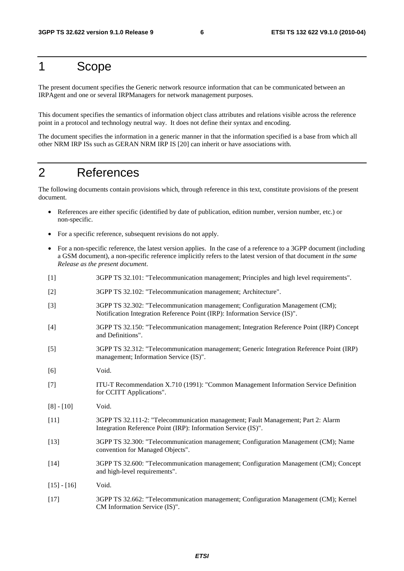# 1 Scope

The present document specifies the Generic network resource information that can be communicated between an IRPAgent and one or several IRPManagers for network management purposes.

This document specifies the semantics of information object class attributes and relations visible across the reference point in a protocol and technology neutral way. It does not define their syntax and encoding.

The document specifies the information in a generic manner in that the information specified is a base from which all other NRM IRP ISs such as GERAN NRM IRP IS [20] can inherit or have associations with.

## 2 References

The following documents contain provisions which, through reference in this text, constitute provisions of the present document.

- References are either specific (identified by date of publication, edition number, version number, etc.) or non-specific.
- For a specific reference, subsequent revisions do not apply.
- For a non-specific reference, the latest version applies. In the case of a reference to a 3GPP document (including a GSM document), a non-specific reference implicitly refers to the latest version of that document *in the same Release as the present document*.
- [1] 3GPP TS 32.101: "Telecommunication management; Principles and high level requirements".
- [2] 3GPP TS 32.102: "Telecommunication management; Architecture".
- [3] 3GPP TS 32.302: "Telecommunication management; Configuration Management (CM); Notification Integration Reference Point (IRP): Information Service (IS)".
- [4] 3GPP TS 32.150: "Telecommunication management; Integration Reference Point (IRP) Concept and Definitions".
- [5] 3GPP TS 32.312: "Telecommunication management; Generic Integration Reference Point (IRP) management; Information Service (IS)".
- [6] Void.
- [7] ITU-T Recommendation X.710 (1991): "Common Management Information Service Definition for CCITT Applications".
- [8] [10] Void.
- [11] 3GPP TS 32.111-2: "Telecommunication management; Fault Management; Part 2: Alarm Integration Reference Point (IRP): Information Service (IS)".
- [13] 3GPP TS 32.300: "Telecommunication management; Configuration Management (CM); Name convention for Managed Objects".
- [14] 3GPP TS 32.600: "Telecommunication management; Configuration Management (CM); Concept and high-level requirements".
- $[15] [16]$  Void.
- [17] 3GPP TS 32.662: "Telecommunication management; Configuration Management (CM); Kernel CM Information Service (IS)".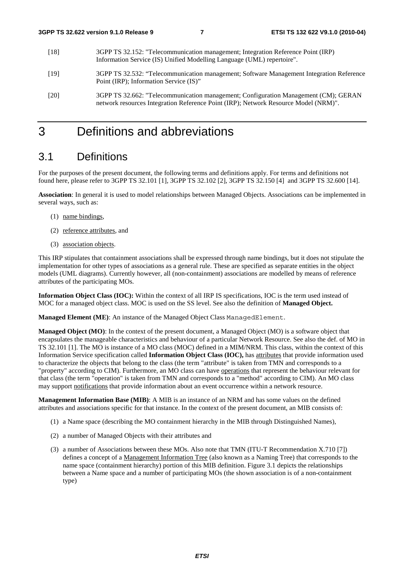- [18] 3GPP TS 32.152: "Telecommunication management; Integration Reference Point (IRP) Information Service (IS) Unified Modelling Language (UML) repertoire".
- [19] 3GPP TS 32.532: "Telecommunication management; Software Management Integration Reference Point (IRP); Information Service (IS)"
- [20] 3GPP TS 32.662: "Telecommunication management; Configuration Management (CM); GERAN network resources Integration Reference Point (IRP); Network Resource Model (NRM)".

# 3 Definitions and abbreviations

### 3.1 Definitions

For the purposes of the present document, the following terms and definitions apply. For terms and definitions not found here, please refer to 3GPP TS 32.101 [1], 3GPP TS 32.102 [2], 3GPP TS 32.150 [4] and 3GPP TS 32.600 [14].

**Association**: In general it is used to model relationships between Managed Objects. Associations can be implemented in several ways, such as:

- (1) name bindings,
- (2) reference attributes, and
- (3) association objects.

This IRP stipulates that containment associations shall be expressed through name bindings, but it does not stipulate the implementation for other types of associations as a general rule. These are specified as separate entities in the object models (UML diagrams). Currently however, all (non-containment) associations are modelled by means of reference attributes of the participating MOs.

**Information Object Class (IOC):** Within the context of all IRP IS specifications, IOC is the term used instead of MOC for a managed object class. MOC is used on the SS level. See also the definition of **Managed Object.**

**Managed Element (ME)**: An instance of the Managed Object Class ManagedElement.

**Managed Object (MO)**: In the context of the present document, a Managed Object (MO) is a software object that encapsulates the manageable characteristics and behaviour of a particular Network Resource. See also the def. of MO in TS 32.101 [1]. The MO is instance of a MO class (MOC) defined in a MIM/NRM. This class, within the context of this Information Service specification called **Information Object Class (IOC),** has attributes that provide information used to characterize the objects that belong to the class (the term "attribute" is taken from TMN and corresponds to a "property" according to CIM). Furthermore, an MO class can have operations that represent the behaviour relevant for that class (the term "operation" is taken from TMN and corresponds to a "method" according to CIM). An MO class may support notifications that provide information about an event occurrence within a network resource.

**Management Information Base (MIB)**: A MIB is an instance of an NRM and has some values on the defined attributes and associations specific for that instance. In the context of the present document, an MIB consists of:

- (1) a Name space (describing the MO containment hierarchy in the MIB through Distinguished Names),
- (2) a number of Managed Objects with their attributes and
- (3) a number of Associations between these MOs. Also note that TMN (ITU-T Recommendation X.710 [7]) defines a concept of a Management Information Tree (also known as a Naming Tree) that corresponds to the name space (containment hierarchy) portion of this MIB definition. Figure 3.1 depicts the relationships between a Name space and a number of participating MOs (the shown association is of a non-containment type)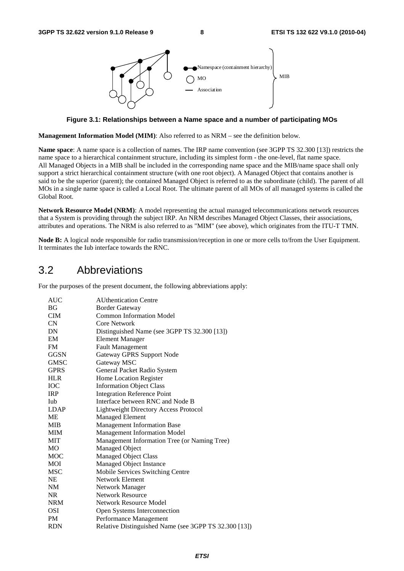

**Figure 3.1: Relationships between a Name space and a number of participating MOs** 

**Management Information Model (MIM)**: Also referred to as NRM – see the definition below.

**Name space**: A name space is a collection of names. The IRP name convention (see 3GPP TS 32.300 [13]) restricts the name space to a hierarchical containment structure, including its simplest form - the one-level, flat name space. All Managed Objects in a MIB shall be included in the corresponding name space and the MIB/name space shall only support a strict hierarchical containment structure (with one root object). A Managed Object that contains another is said to be the superior (parent); the contained Managed Object is referred to as the subordinate (child). The parent of all MOs in a single name space is called a Local Root. The ultimate parent of all MOs of all managed systems is called the Global Root.

**Network Resource Model (NRM)**: A model representing the actual managed telecommunications network resources that a System is providing through the subject IRP. An NRM describes Managed Object Classes, their associations, attributes and operations. The NRM is also referred to as "MIM" (see above), which originates from the ITU-T TMN.

**Node B:** A logical node responsible for radio transmission/reception in one or more cells to/from the User Equipment. It terminates the Iub interface towards the RNC.

### 3.2 Abbreviations

For the purposes of the present document, the following abbreviations apply:

| AUC         | <b>AUthentication Centre</b>                          |
|-------------|-------------------------------------------------------|
| <b>BG</b>   | <b>Border Gateway</b>                                 |
| <b>CIM</b>  | <b>Common Information Model</b>                       |
| CN          | Core Network                                          |
| DN          | Distinguished Name (see 3GPP TS 32.300 [13])          |
| EM          | <b>Element Manager</b>                                |
| <b>FM</b>   | <b>Fault Management</b>                               |
| <b>GGSN</b> | Gateway GPRS Support Node                             |
| <b>GMSC</b> | Gateway MSC                                           |
| <b>GPRS</b> | General Packet Radio System                           |
| <b>HLR</b>  | Home Location Register                                |
| <b>IOC</b>  | <b>Information Object Class</b>                       |
| <b>IRP</b>  | <b>Integration Reference Point</b>                    |
| Iub         | Interface between RNC and Node B                      |
| <b>LDAP</b> | <b>Lightweight Directory Access Protocol</b>          |
| ME          | <b>Managed Element</b>                                |
| <b>MIB</b>  | <b>Management Information Base</b>                    |
| <b>MIM</b>  | <b>Management Information Model</b>                   |
| <b>MIT</b>  | Management Information Tree (or Naming Tree)          |
| MO          | Managed Object                                        |
| <b>MOC</b>  | <b>Managed Object Class</b>                           |
| MOI         | Managed Object Instance                               |
| <b>MSC</b>  | Mobile Services Switching Centre                      |
| <b>NE</b>   | Network Element                                       |
| NM          | Network Manager                                       |
| <b>NR</b>   | <b>Network Resource</b>                               |
| <b>NRM</b>  | <b>Network Resource Model</b>                         |
| <b>OSI</b>  | Open Systems Interconnection                          |
| <b>PM</b>   | Performance Management                                |
| <b>RDN</b>  | Relative Distinguished Name (see 3GPP TS 32.300 [13]) |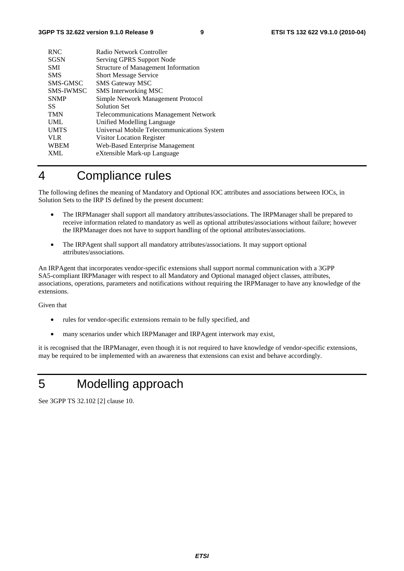| <b>RNC</b>       | Radio Network Controller                     |
|------------------|----------------------------------------------|
| <b>SGSN</b>      | Serving GPRS Support Node                    |
| <b>SMI</b>       | <b>Structure of Management Information</b>   |
| <b>SMS</b>       | <b>Short Message Service</b>                 |
| SMS-GMSC         | <b>SMS Gateway MSC</b>                       |
| <b>SMS-IWMSC</b> | SMS Interworking MSC                         |
| <b>SNMP</b>      | Simple Network Management Protocol           |
| SS.              | <b>Solution Set</b>                          |
| <b>TMN</b>       | <b>Telecommunications Management Network</b> |
| <b>UML</b>       | Unified Modelling Language                   |
| <b>UMTS</b>      | Universal Mobile Telecommunications System   |
| <b>VLR</b>       | Visitor Location Register                    |
| <b>WBEM</b>      | Web-Based Enterprise Management              |
| <b>XML</b>       | eXtensible Mark-up Language                  |
|                  |                                              |

## 4 Compliance rules

The following defines the meaning of Mandatory and Optional IOC attributes and associations between IOCs, in Solution Sets to the IRP IS defined by the present document:

- The IRPManager shall support all mandatory attributes/associations. The IRPManager shall be prepared to receive information related to mandatory as well as optional attributes/associations without failure; however the IRPManager does not have to support handling of the optional attributes/associations.
- The IRPAgent shall support all mandatory attributes/associations. It may support optional attributes/associations.

An IRPAgent that incorporates vendor-specific extensions shall support normal communication with a 3GPP SA5-compliant IRPManager with respect to all Mandatory and Optional managed object classes, attributes, associations, operations, parameters and notifications without requiring the IRPManager to have any knowledge of the extensions.

Given that

- rules for vendor-specific extensions remain to be fully specified, and
- many scenarios under which IRPManager and IRPAgent interwork may exist,

it is recognised that the IRPManager, even though it is not required to have knowledge of vendor-specific extensions, may be required to be implemented with an awareness that extensions can exist and behave accordingly.

# 5 Modelling approach

See 3GPP TS 32.102 [2] clause 10.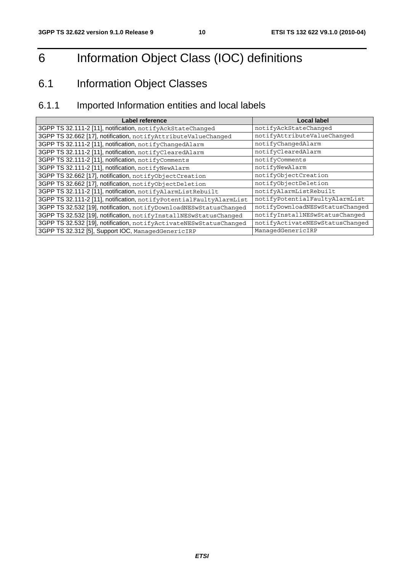# 6 Information Object Class (IOC) definitions

# 6.1 Information Object Classes

## 6.1.1 Imported Information entities and local labels

| Label reference                                                     | <b>Local label</b>              |
|---------------------------------------------------------------------|---------------------------------|
| 3GPP TS 32.111-2 [11], notification, notifyAckStateChanged          | notifyAckStateChanged           |
| 3GPP TS 32.662 [17], notification, notifyAttributeValueChanged      | notifyAttributeValueChanged     |
| 3GPP TS 32.111-2 [11], notification, notifyChangedAlarm             | notifyChangedAlarm              |
| 3GPP TS 32.111-2 [11], notification, notifyClearedAlarm             | notifyClearedAlarm              |
| 3GPP TS 32.111-2 [11], notification, notifyComments                 | notifyComments                  |
| 3GPP TS 32.111-2 [11], notification, notifyNewAlarm                 | notifyNewAlarm                  |
| 3GPP TS 32.662 [17], notification, notifyObjectCreation             | notifyObjectCreation            |
| 3GPP TS 32.662 [17], notification, notifyObjectDeletion             | notifyObjectDeletion            |
| 3GPP TS 32.111-2 [11], notification, notifyAlarmListRebuilt         | notifyAlarmListRebuilt          |
| 3GPP TS 32.111-2 [11], notification, notifyPotentialFaultyAlarmList | notifyPotentialFaultyAlarmList  |
| 3GPP TS 32.532 [19], notification, notifyDownloadNESwStatusChanged  | notifyDownloadNESwStatusChanged |
| 3GPP TS 32.532 [19], notification, notifyInstallNESwStatusChanged   | notifyInstallNESwStatusChanged  |
| 3GPP TS 32.532 [19], notification, notifyActivateNESwStatusChanged  | notifyActivateNESwStatusChanged |
| 3GPP TS 32.312 [5], Support IOC, ManagedGenericIRP                  | ManagedGenericIRP               |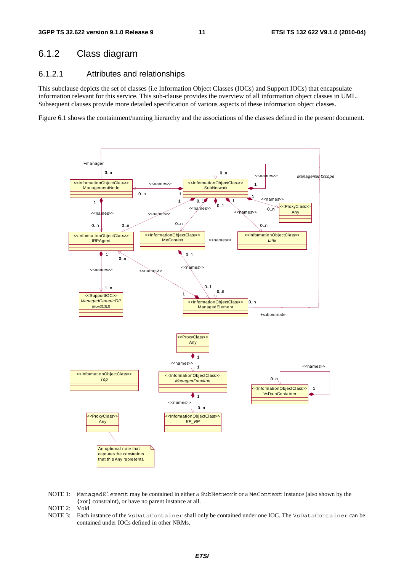### 6.1.2 Class diagram

#### 6.1.2.1 Attributes and relationships

This subclause depicts the set of classes (i.e Information Object Classes (IOCs) and Support IOCs) that encapsulate information relevant for this service. This sub-clause provides the overview of all information object classes in UML. Subsequent clauses provide more detailed specification of various aspects of these information object classes.

Figure 6.1 shows the containment/naming hierarchy and the associations of the classes defined in the present document.



NOTE 1: ManagedElement may be contained in either a SubNetwork or a MeContext instance (also shown by the {xor} constraint), or have no parent instance at all.

NOTE 2: Void

NOTE 3: Each instance of the VsDataContainer shall only be contained under one IOC. The VsDataContainer can be contained under IOCs defined in other NRMs.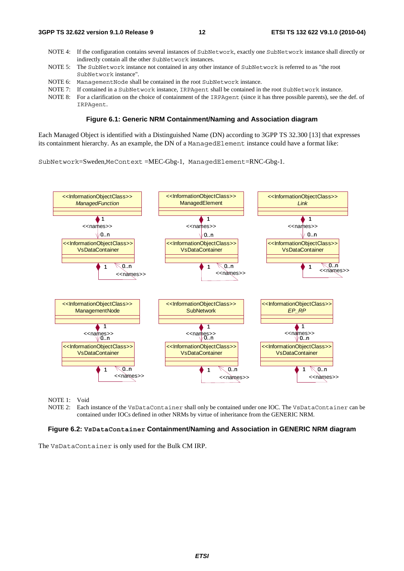- NOTE 4: If the configuration contains several instances of SubNetwork, exactly one SubNetwork instance shall directly or indirectly contain all the other SubNetwork instances.
- NOTE 5: The SubNetwork instance not contained in any other instance of SubNetwork is referred to as "the root SubNetwork instance".
- NOTE 6: ManagementNode shall be contained in the root SubNetwork instance.
- NOTE 7: If contained in a SubNetwork instance, IRPAgent shall be contained in the root SubNetwork instance.
- NOTE 8: For a clarification on the choice of containment of the IRPAgent (since it has three possible parents), see the def. of IRPAgent.

#### **Figure 6.1: Generic NRM Containment/Naming and Association diagram**

Each Managed Object is identified with a Distinguished Name (DN) according to 3GPP TS 32.300 [13] that expresses its containment hierarchy. As an example, the DN of a ManagedElement instance could have a format like:

SubNetwork=Sweden,MeContext =MEC-Gbg-1, ManagedElement=RNC-Gbg-1.



NOTE 1: Void<br>NOTE 2: Each

Each instance of the VsDataContainer shall only be contained under one IOC. The VsDataContainer can be contained under IOCs defined in other NRMs by virtue of inheritance from the GENERIC NRM.

#### **Figure 6.2: VsDataContainer Containment/Naming and Association in GENERIC NRM diagram**

The VsDataContainer is only used for the Bulk CM IRP.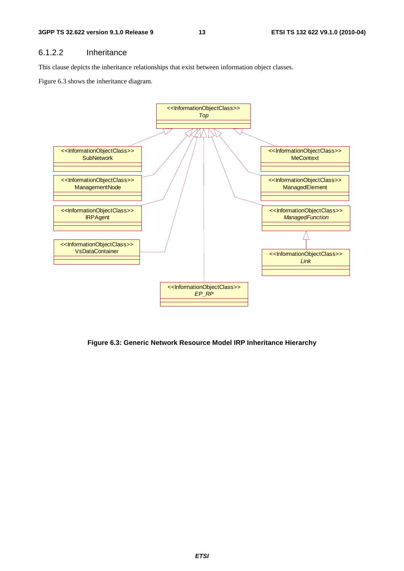#### 6.1.2.2 Inheritance

This clause depicts the inheritance relationships that exist between information object classes.

Figure 6.3 shows the inheritance diagram.



**Figure 6.3: Generic Network Resource Model IRP Inheritance Hierarchy**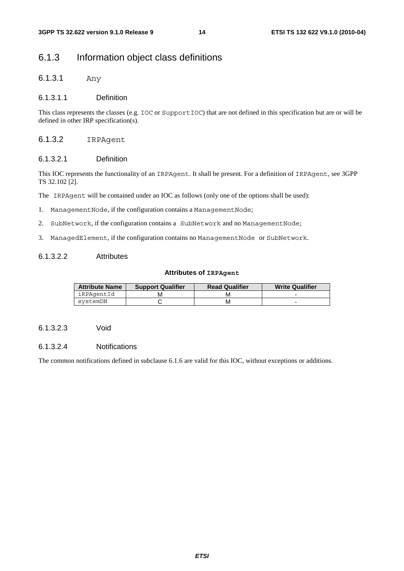### 6.1.3 Information object class definitions

6.1.3.1 Any

#### 6.1.3.1.1 Definition

This class represents the classes (e.g. IOC or SupportIOC) that are not defined in this specification but are or will be defined in other IRP specification(s).

#### 6.1.3.2 IRPAgent

#### 6.1.3.2.1 Definition

This IOC represents the functionality of an IRPAgent. It shall be present. For a definition of IRPAgent, see 3GPP TS 32.102 [2].

The IRPAgent will be contained under an IOC as follows (only one of the options shall be used):

- 1. ManagementNode, if the configuration contains a ManagementNode;
- 2. SubNetwork, if the configuration contains a SubNetwork and no ManagementNode;
- 3. ManagedElement, if the configuration contains no ManagementNode or SubNetwork.

#### 6.1.3.2.2 Attributes

#### **Attributes of IRPAgent**

| <b>Attribute Name</b> | <b>Support Qualifier</b> | <b>Read Qualifier</b> | <b>Write Qualifier</b> |
|-----------------------|--------------------------|-----------------------|------------------------|
| iRPAgentId            |                          |                       |                        |
| svstemDN              |                          | м                     |                        |

#### 6.1.3.2.3 Void

#### 6.1.3.2.4 Notifications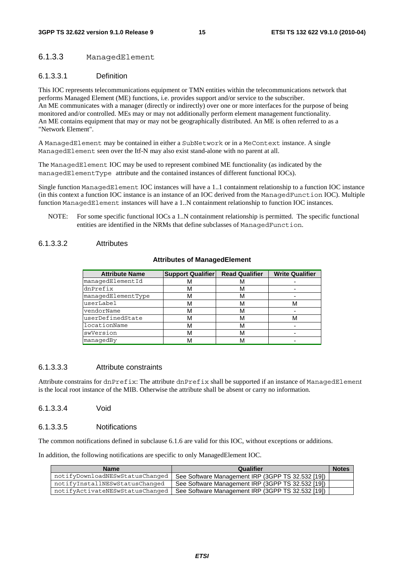#### 6.1.3.3 ManagedElement

#### 6.1.3.3.1 Definition

This IOC represents telecommunications equipment or TMN entities within the telecommunications network that performs Managed Element (ME) functions, i.e. provides support and/or service to the subscriber. An ME communicates with a manager (directly or indirectly) over one or more interfaces for the purpose of being monitored and/or controlled. MEs may or may not additionally perform element management functionality. An ME contains equipment that may or may not be geographically distributed. An ME is often referred to as a "Network Element".

A ManagedElement may be contained in either a SubNetwork or in a MeContext instance. A single ManagedElement seen over the Itf-N may also exist stand-alone with no parent at all.

The ManagedElement IOC may be used to represent combined ME functionality (as indicated by the managedElementType attribute and the contained instances of different functional IOCs).

Single function ManagedElement IOC instances will have a 1..1 containment relationship to a function IOC instance (in this context a function IOC instance is an instance of an IOC derived from the ManagedFunction IOC). Multiple function ManagedElement instances will have a 1..N containment relationship to function IOC instances.

NOTE: For some specific functional IOCs a 1..N containment relationship is permitted. The specific functional entities are identified in the NRMs that define subclasses of ManagedFunction.

#### 6.1.3.3.2 Attributes

#### **Attributes of ManagedElement**

| <b>Attribute Name</b> | <b>Support Qualifier</b> | <b>Read Qualifier</b> | <b>Write Qualifier</b> |
|-----------------------|--------------------------|-----------------------|------------------------|
| managedElementId      |                          | M                     |                        |
| dnPrefix              | M                        | м                     |                        |
| managedElementType    | M                        | М                     |                        |
| userLabel             |                          | м                     | м                      |
| vendorName            |                          | М                     |                        |
| userDefinedState      | м                        | м                     | м                      |
| locationName          |                          | м                     |                        |
| swVersion             |                          | м                     |                        |
| managedBy             |                          | M                     |                        |

#### 6.1.3.3.3 Attribute constraints

Attribute constrains for dnPrefix: The attribute dnPrefix shall be supported if an instance of ManagedElement is the local root instance of the MIB. Otherwise the attribute shall be absent or carry no information.

#### 6.1.3.3.4 Void

#### 6.1.3.3.5 Notifications

The common notifications defined in subclause 6.1.6 are valid for this IOC, without exceptions or additions.

In addition, the following notifications are specific to only ManagedElement IOC.

| <b>Name</b>                     | Qualifier                                         | <b>Notes</b> |
|---------------------------------|---------------------------------------------------|--------------|
| notifyDownloadNESwStatusChanged | See Software Management IRP (3GPP TS 32.532 [19]) |              |
| notifyInstallNESwStatusChanged  | See Software Management IRP (3GPP TS 32.532 [19]) |              |
| notifyActivateNESwStatusChanged | See Software Management IRP (3GPP TS 32.532 [19]) |              |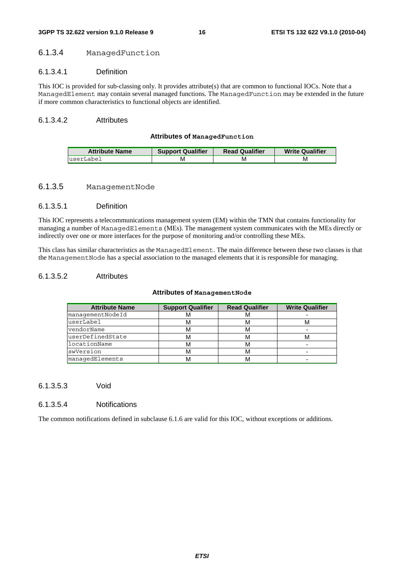#### 6.1.3.4 ManagedFunction

#### 6.1.3.4.1 Definition

This IOC is provided for sub-classing only. It provides attribute(s) that are common to functional IOCs. Note that a ManagedElement may contain several managed functions. The ManagedFunction may be extended in the future if more common characteristics to functional objects are identified.

#### 6.1.3.4.2 Attributes

#### **Attributes of ManagedFunction**

| <b>Attribute Name</b> | <b>Support Qualifier</b> | <b>Read Qualifier</b> | <b>Write Qualifier</b> |
|-----------------------|--------------------------|-----------------------|------------------------|
| luserLabel            | M                        | M                     | M                      |

#### 6.1.3.5 ManagementNode

#### 6.1.3.5.1 Definition

This IOC represents a telecommunications management system (EM) within the TMN that contains functionality for managing a number of ManagedElements (MEs). The management system communicates with the MEs directly or indirectly over one or more interfaces for the purpose of monitoring and/or controlling these MEs.

This class has similar characteristics as the ManagedElement. The main difference between these two classes is that the ManagementNode has a special association to the managed elements that it is responsible for managing.

#### 6.1.3.5.2 Attributes

#### **Attributes of ManagementNode**

| <b>Attribute Name</b> | <b>Support Qualifier</b> | <b>Read Qualifier</b> | <b>Write Qualifier</b> |
|-----------------------|--------------------------|-----------------------|------------------------|
| managementNodeId      |                          | ΙVΙ                   |                        |
| userLabel             | M                        | м                     | ΙVΙ                    |
| vendorName            |                          | м                     |                        |
| luserDefinedState     | M                        | м                     | ΙVΙ                    |
| locationName          | М                        | м                     |                        |
| swVersion             |                          | M                     |                        |
| managedElements       |                          | M                     |                        |

#### 6.1.3.5.3 Void

#### 6.1.3.5.4 Notifications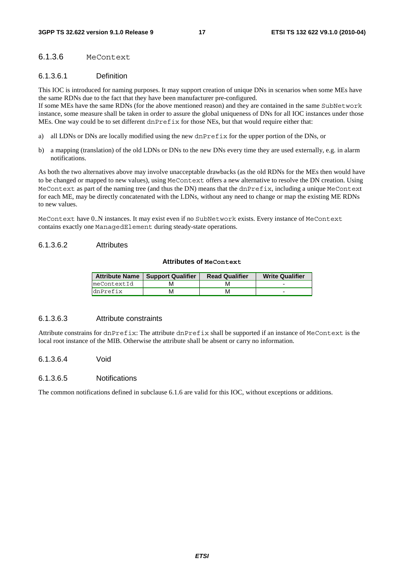#### 6.1.3.6 MeContext

#### 6.1.3.6.1 Definition

This IOC is introduced for naming purposes. It may support creation of unique DNs in scenarios when some MEs have the same RDNs due to the fact that they have been manufacturer pre-configured.

If some MEs have the same RDNs (for the above mentioned reason) and they are contained in the same SubNetwork instance, some measure shall be taken in order to assure the global uniqueness of DNs for all IOC instances under those MEs. One way could be to set different dnPrefix for those NEs, but that would require either that:

- a) all LDNs or DNs are locally modified using the new dnPrefix for the upper portion of the DNs, or
- b) a mapping (translation) of the old LDNs or DNs to the new DNs every time they are used externally, e.g. in alarm notifications.

As both the two alternatives above may involve unacceptable drawbacks (as the old RDNs for the MEs then would have to be changed or mapped to new values), using MeContext offers a new alternative to resolve the DN creation. Using MeContext as part of the naming tree (and thus the DN) means that the dnPrefix, including a unique MeContext for each ME, may be directly concatenated with the LDNs, without any need to change or map the existing ME RDNs to new values.

MeContext have 0..N instances. It may exist even if no SubNetwork exists. Every instance of MeContext contains exactly one ManagedElement during steady-state operations.

#### 6.1.3.6.2 Attributes

#### **Attributes of MeContext**

|             | Attribute Name   Support Qualifier | <b>Read Qualifier</b> | <b>Write Qualifier</b> |
|-------------|------------------------------------|-----------------------|------------------------|
| meContextId |                                    |                       | -                      |
| dnPrefix    |                                    | M                     | -                      |

#### 6.1.3.6.3 Attribute constraints

Attribute constrains for dnPrefix: The attribute dnPrefix shall be supported if an instance of MeContext is the local root instance of the MIB. Otherwise the attribute shall be absent or carry no information.

6.1.3.6.4 Void

#### 6.1.3.6.5 Notifications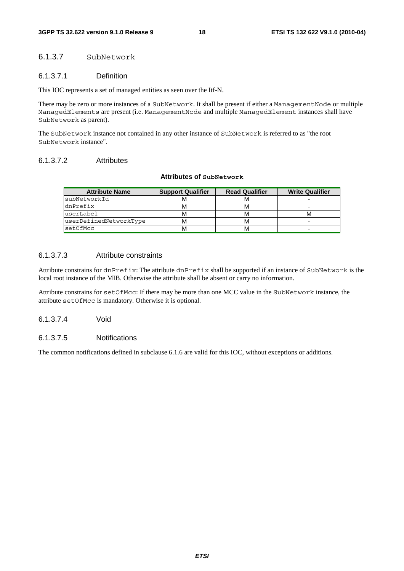#### 6.1.3.7 SubNetwork

#### 6.1.3.7.1 Definition

This IOC represents a set of managed entities as seen over the Itf-N.

There may be zero or more instances of a SubNetwork. It shall be present if either a ManagementNode or multiple ManagedElements are present (i.e. ManagementNode and multiple ManagedElement instances shall have SubNetwork as parent).

The SubNetwork instance not contained in any other instance of SubNetwork is referred to as "the root SubNetwork instance".

#### 6.1.3.7.2 Attributes

#### **Attributes of SubNetwork**

| <b>Attribute Name</b>  | <b>Support Qualifier</b> | <b>Read Qualifier</b> | <b>Write Qualifier</b> |
|------------------------|--------------------------|-----------------------|------------------------|
| subNetworkId           |                          |                       |                        |
| dnPrefix               | M                        |                       | -                      |
| userLabel              | м                        |                       |                        |
| userDefinedNetworkType | м                        |                       | -                      |
| setOfMcc               | м                        |                       | -                      |

#### 6.1.3.7.3 Attribute constraints

Attribute constrains for dnPrefix: The attribute dnPrefix shall be supported if an instance of SubNetwork is the local root instance of the MIB. Otherwise the attribute shall be absent or carry no information.

Attribute constrains for setOfMcc: If there may be more than one MCC value in the SubNetwork instance, the attribute setOfMcc is mandatory. Otherwise it is optional.

6.1.3.7.4 Void

#### 6.1.3.7.5 Notifications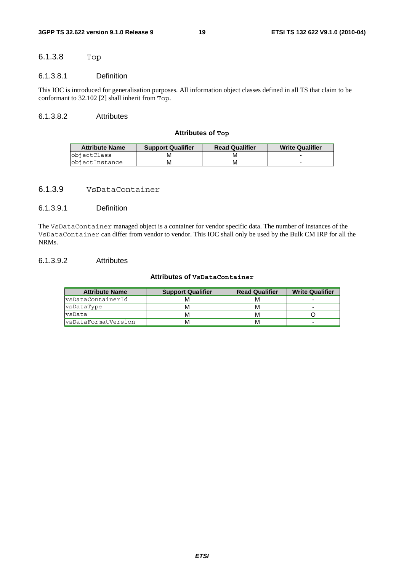### 6.1.3.8 Top

#### 6.1.3.8.1 Definition

This IOC is introduced for generalisation purposes. All information object classes defined in all TS that claim to be conformant to 32.102 [2] shall inherit from Top.

#### 6.1.3.8.2 Attributes

#### **Attributes of Top**

| <b>Attribute Name</b> | <b>Support Qualifier</b> | <b>Read Qualifier</b> | <b>Write Qualifier</b> |
|-----------------------|--------------------------|-----------------------|------------------------|
| <b>objectClass</b>    |                          |                       |                        |
| objectInstance        | м                        |                       |                        |

#### 6.1.3.9 VsDataContainer

#### 6.1.3.9.1 Definition

The VsDataContainer managed object is a container for vendor specific data. The number of instances of the VsDataContainer can differ from vendor to vendor. This IOC shall only be used by the Bulk CM IRP for all the NRMs.

#### 6.1.3.9.2 Attributes

#### **Attributes of VsDataContainer**

| <b>Attribute Name</b>      | <b>Support Qualifier</b> | <b>Read Qualifier</b> | <b>Write Qualifier</b> |
|----------------------------|--------------------------|-----------------------|------------------------|
| vsDataContainerId          | м                        | M                     |                        |
| vsDataType                 | м                        | M                     |                        |
| vsData                     |                          | M                     |                        |
| <b>s</b> DataFormatVersion | м                        | M                     | ۰                      |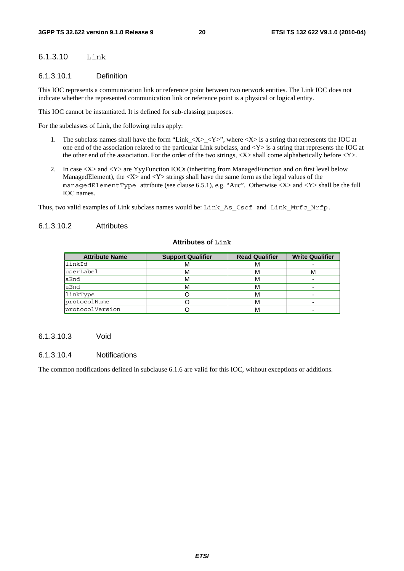### 6.1.3.10 Link

#### 6.1.3.10.1 Definition

This IOC represents a communication link or reference point between two network entities. The Link IOC does not indicate whether the represented communication link or reference point is a physical or logical entity.

This IOC cannot be instantiated. It is defined for sub-classing purposes.

For the subclasses of Link, the following rules apply:

- 1. The subclass names shall have the form "Link\_<X>\_<Y>", where <X> is a string that represents the IOC at one end of the association related to the particular Link subclass, and <Y> is a string that represents the IOC at the other end of the association. For the order of the two strings,  $\langle X \rangle$  shall come alphabetically before  $\langle Y \rangle$ .
- 2. In case  $\langle X \rangle$  and  $\langle Y \rangle$  are YvyFunction IOCs (inheriting from ManagedFunction and on first level below ManagedElement), the  $\langle X \rangle$  and  $\langle Y \rangle$  strings shall have the same form as the legal values of the managedElementType attribute (see clause 6.5.1), e.g. "Auc". Otherwise  $\langle X \rangle$  and  $\langle Y \rangle$  shall be the full IOC names.

Thus, two valid examples of Link subclass names would be: Link\_As\_Cscf and Link\_Mrfc\_Mrfp.

#### 6.1.3.10.2 Attributes

#### **Attributes of Link**

| <b>Attribute Name</b> | <b>Support Qualifier</b> | <b>Read Qualifier</b> | <b>Write Qualifier</b> |
|-----------------------|--------------------------|-----------------------|------------------------|
| linkId                | м                        | м                     |                        |
| luserLabel            |                          | М                     | м                      |
| aEnd                  | м                        | м                     |                        |
| zEnd                  |                          | м                     |                        |
| linkType              |                          | М                     |                        |
| protocolName          |                          | М                     |                        |
| protocolVersion       |                          | м                     |                        |

#### 6.1.3.10.3 Void

#### 6.1.3.10.4 Notifications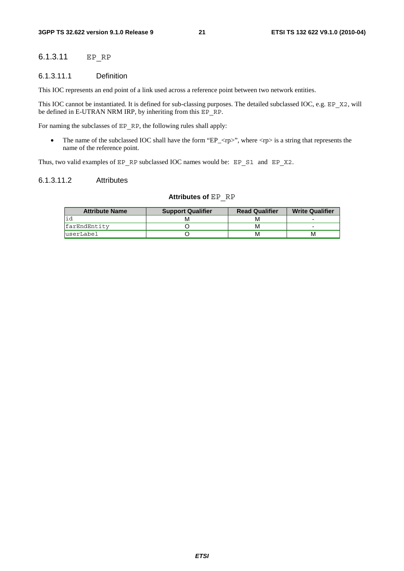### 6.1.3.11 EP\_RP

#### 6.1.3.11.1 Definition

This IOC represents an end point of a link used across a reference point between two network entities.

This IOC cannot be instantiated. It is defined for sub-classing purposes. The detailed subclassed IOC, e.g. EP\_X2, will be defined in E-UTRAN NRM IRP, by inheriting from this EP\_RP.

For naming the subclasses of EP\_RP, the following rules shall apply:

• The name of the subclassed IOC shall have the form "EP\_ $\langle rp \rangle$ ", where  $\langle rp \rangle$  is a string that represents the name of the reference point.

Thus, two valid examples of EP\_RP subclassed IOC names would be: EP\_S1\_and EP\_X2.

#### 6.1.3.11.2 Attributes

#### **Attributes of** EP\_RP

| <b>Attribute Name</b> | <b>Support Qualifier</b> | <b>Read Qualifier</b> | <b>Write Qualifier</b> |
|-----------------------|--------------------------|-----------------------|------------------------|
|                       |                          | M                     |                        |
| farEndEntity          |                          | м                     |                        |
| luserLabel            |                          | м                     | м                      |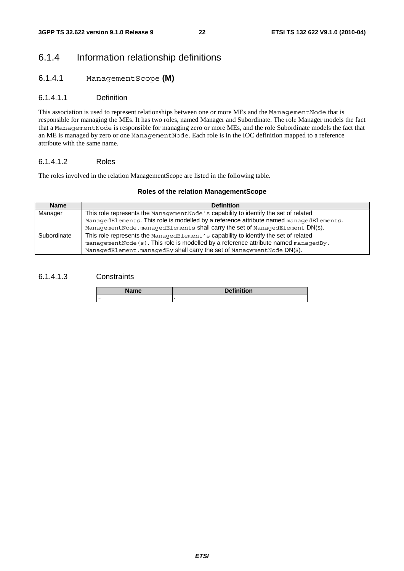### 6.1.4 Information relationship definitions

#### 6.1.4.1 ManagementScope **(M)**

#### 6.1.4.1.1 Definition

This association is used to represent relationships between one or more MEs and the ManagementNode that is responsible for managing the MEs. It has two roles, named Manager and Subordinate. The role Manager models the fact that a ManagementNode is responsible for managing zero or more MEs, and the role Subordinate models the fact that an ME is managed by zero or one ManagementNode. Each role is in the IOC definition mapped to a reference attribute with the same name.

#### 6.1.4.1.2 Roles

The roles involved in the relation ManagementScope are listed in the following table.

#### **Roles of the relation ManagementScope**

| <b>Name</b> | <b>Definition</b>                                                                        |
|-------------|------------------------------------------------------------------------------------------|
| Manager     | This role represents the Management Node's capability to identify the set of related     |
|             | ManagedElements. This role is modelled by a reference attribute named managedElements.   |
|             | ManagementNode.managedElements shall carry the set of ManagedElement DN(s).              |
| Subordinate | This role represents the ManagedElement's capability to identify the set of related      |
|             | management Node $(s)$ . This role is modelled by a reference attribute named managed By. |
|             | ManagedElement.managedBy shall carry the set of ManagementNode DN(s).                    |

#### 6.1.4.1.3 Constraints

| <b>Name</b> | <b>Definition</b> |
|-------------|-------------------|
| <b>1979</b> |                   |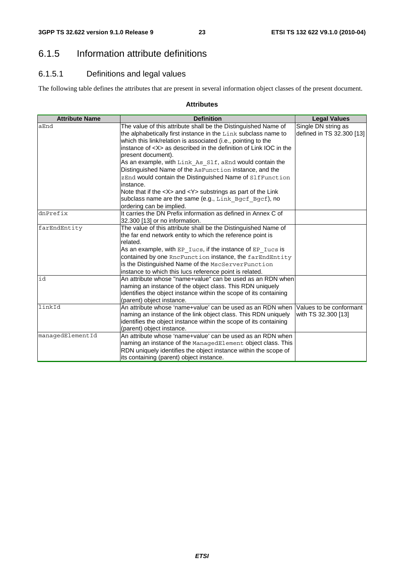### 6.1.5 Information attribute definitions

### 6.1.5.1 Definitions and legal values

The following table defines the attributes that are present in several information object classes of the present document.

#### **Attributes**

| <b>Attribute Name</b> | <b>Definition</b>                                                     | <b>Legal Values</b>       |
|-----------------------|-----------------------------------------------------------------------|---------------------------|
| aEnd                  | The value of this attribute shall be the Distinguished Name of        | Single DN string as       |
|                       | the alphabetically first instance in the Link subclass name to        | defined in TS 32.300 [13] |
|                       | which this link/relation is associated (i.e., pointing to the         |                           |
|                       | instance of <x> as described in the definition of Link IOC in the</x> |                           |
|                       | present document).                                                    |                           |
|                       | As an example, with Link As Slf, aEnd would contain the               |                           |
|                       | Distinguished Name of the AsFunction instance, and the                |                           |
|                       | zEnd would contain the Distinguished Name of SlfFunction              |                           |
|                       | instance.                                                             |                           |
|                       | Note that if the <x> and <y> substrings as part of the Link</y></x>   |                           |
|                       | subclass name are the same (e.g., Link Bgcf Bgcf), no                 |                           |
|                       | ordering can be implied.                                              |                           |
| dnPrefix              | It carries the DN Prefix information as defined in Annex C of         |                           |
|                       | 32.300 [13] or no information.                                        |                           |
| farEndEntity          | The value of this attribute shall be the Distinguished Name of        |                           |
|                       | the far end network entity to which the reference point is            |                           |
|                       | related.                                                              |                           |
|                       | As an example, with EP Iucs, if the instance of EP Iucs is            |                           |
|                       | contained by one RncFunction instance, the farEndEntity               |                           |
|                       | is the Distinguished Name of the MscServerFunction                    |                           |
|                       | instance to which this lucs reference point is related.               |                           |
| id                    | An attribute whose "name+value" can be used as an RDN when            |                           |
|                       | naming an instance of the object class. This RDN uniquely             |                           |
|                       | identifies the object instance within the scope of its containing     |                           |
|                       | (parent) object instance.                                             |                           |
| linkId                | An attribute whose 'name+value' can be used as an RDN when            | Values to be conformant   |
|                       | naming an instance of the link object class. This RDN uniquely        | with TS 32.300 [13]       |
|                       | identifies the object instance within the scope of its containing     |                           |
|                       | (parent) object instance.                                             |                           |
| managedElementId      | An attribute whose 'name+value' can be used as an RDN when            |                           |
|                       | naming an instance of the ManagedElement object class. This           |                           |
|                       | RDN uniquely identifies the object instance within the scope of       |                           |
|                       | its containing (parent) object instance.                              |                           |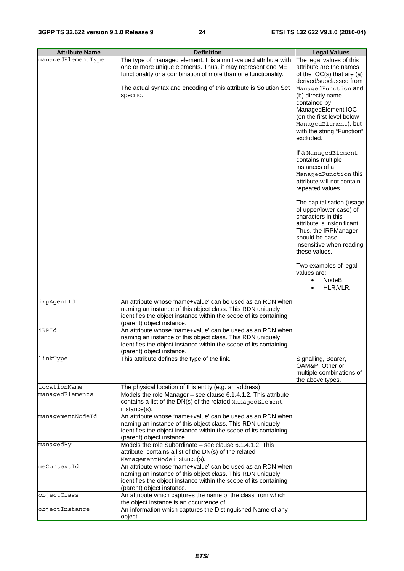| <b>Attribute Name</b> | <b>Definition</b>                                                                                                               | <b>Legal Values</b>                                  |
|-----------------------|---------------------------------------------------------------------------------------------------------------------------------|------------------------------------------------------|
| managedElementType    | The type of managed element. It is a multi-valued attribute with                                                                | The legal values of this                             |
|                       | one or more unique elements. Thus, it may represent one ME                                                                      | attribute are the names                              |
|                       | functionality or a combination of more than one functionality.                                                                  | of the $IOC(s)$ that are $(a)$                       |
|                       |                                                                                                                                 | derived/subclassed from                              |
|                       | The actual syntax and encoding of this attribute is Solution Set                                                                | ManagedFunction and                                  |
|                       | specific.                                                                                                                       | (b) directly name-                                   |
|                       |                                                                                                                                 | contained by                                         |
|                       |                                                                                                                                 | ManagedElement IOC<br>(on the first level below      |
|                       |                                                                                                                                 | ManagedElement), but                                 |
|                       |                                                                                                                                 | with the string "Function"                           |
|                       |                                                                                                                                 | excluded.                                            |
|                       |                                                                                                                                 |                                                      |
|                       |                                                                                                                                 | If a ManagedElement                                  |
|                       |                                                                                                                                 | contains multiple                                    |
|                       |                                                                                                                                 | instances of a                                       |
|                       |                                                                                                                                 | ManagedFunction this                                 |
|                       |                                                                                                                                 | attribute will not contain                           |
|                       |                                                                                                                                 | repeated values.                                     |
|                       |                                                                                                                                 |                                                      |
|                       |                                                                                                                                 | The capitalisation (usage<br>of upper/lower case) of |
|                       |                                                                                                                                 | characters in this                                   |
|                       |                                                                                                                                 | attribute is insignificant.                          |
|                       |                                                                                                                                 | Thus, the IRPManager                                 |
|                       |                                                                                                                                 | should be case                                       |
|                       |                                                                                                                                 | insensitive when reading                             |
|                       |                                                                                                                                 | these values.                                        |
|                       |                                                                                                                                 |                                                      |
|                       |                                                                                                                                 | Two examples of legal                                |
|                       |                                                                                                                                 | values are:<br>NodeB;<br>$\bullet$                   |
|                       |                                                                                                                                 | HLR, VLR.<br>$\bullet$                               |
|                       |                                                                                                                                 |                                                      |
| irpAgentId            | An attribute whose 'name+value' can be used as an RDN when                                                                      |                                                      |
|                       | naming an instance of this object class. This RDN uniquely                                                                      |                                                      |
|                       | identifies the object instance within the scope of its containing                                                               |                                                      |
|                       | (parent) object instance.                                                                                                       |                                                      |
| iRPId                 | An attribute whose 'name+value' can be used as an RDN when                                                                      |                                                      |
|                       | naming an instance of this object class. This RDN uniquely                                                                      |                                                      |
|                       | identifies the object instance within the scope of its containing<br>(parent) object instance.                                  |                                                      |
| linkType              | This attribute defines the type of the link.                                                                                    | Signalling, Bearer,                                  |
|                       |                                                                                                                                 | OAM&P, Other or                                      |
|                       |                                                                                                                                 | multiple combinations of                             |
|                       |                                                                                                                                 | the above types.                                     |
| locationName          | The physical location of this entity (e.g. an address).                                                                         |                                                      |
| managedElements       | Models the role Manager - see clause 6.1.4.1.2. This attribute                                                                  |                                                      |
|                       | contains a list of the DN(s) of the related ManagedElement                                                                      |                                                      |
|                       | instance(s).                                                                                                                    |                                                      |
| managementNodeId      | An attribute whose 'name+value' can be used as an RDN when                                                                      |                                                      |
|                       | naming an instance of this object class. This RDN uniquely<br>identifies the object instance within the scope of its containing |                                                      |
|                       | (parent) object instance.                                                                                                       |                                                      |
| managedBy             | Models the role Subordinate - see clause 6.1.4.1.2. This                                                                        |                                                      |
|                       | attribute contains a list of the DN(s) of the related                                                                           |                                                      |
|                       | ManagementNode instance(s).                                                                                                     |                                                      |
| meContextId           | An attribute whose 'name+value' can be used as an RDN when                                                                      |                                                      |
|                       | naming an instance of this object class. This RDN uniquely                                                                      |                                                      |
|                       | identifies the object instance within the scope of its containing                                                               |                                                      |
|                       | (parent) object instance.                                                                                                       |                                                      |
| objectClass           | An attribute which captures the name of the class from which                                                                    |                                                      |
|                       | the object instance is an occurrence of.                                                                                        |                                                      |
| objectInstance        | An information which captures the Distinguished Name of any<br>object.                                                          |                                                      |
|                       |                                                                                                                                 |                                                      |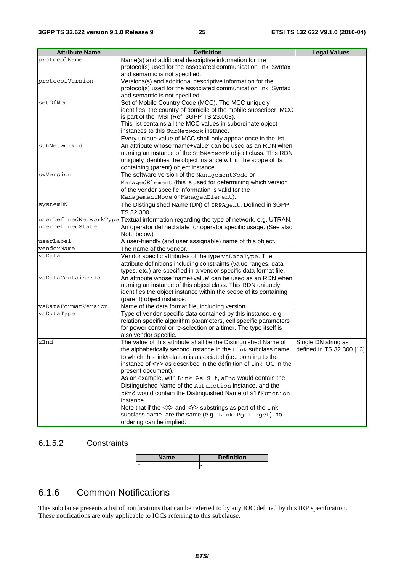| <b>Attribute Name</b> | <b>Definition</b>                                                                                                             | <b>Legal Values</b>       |
|-----------------------|-------------------------------------------------------------------------------------------------------------------------------|---------------------------|
| protocolName          | Name(s) and additional descriptive information for the                                                                        |                           |
|                       | protocol(s) used for the associated communication link. Syntax                                                                |                           |
|                       | and semantic is not specified.                                                                                                |                           |
| protocolVersion       | Versions(s) and additional descriptive information for the                                                                    |                           |
|                       | protocol(s) used for the associated communication link. Syntax                                                                |                           |
|                       | and semantic is not specified.                                                                                                |                           |
| setOfMcc              | Set of Mobile Country Code (MCC). The MCC uniquely                                                                            |                           |
|                       | identifies the country of domicile of the mobile subscriber. MCC                                                              |                           |
|                       | is part of the IMSI (Ref. 3GPP TS 23.003).                                                                                    |                           |
|                       | This list contains all the MCC values in subordinate object                                                                   |                           |
|                       | instances to this SubNetwork instance.                                                                                        |                           |
|                       | Every unique value of MCC shall only appear once in the list.                                                                 |                           |
| subNetworkId          | An attribute whose 'name+value' can be used as an RDN when                                                                    |                           |
|                       | naming an instance of the SubNetwork object class. This RDN                                                                   |                           |
|                       | uniquely identifies the object instance within the scope of its                                                               |                           |
|                       | containing (parent) object instance.                                                                                          |                           |
| swVersion             | The software version of the Management Node or                                                                                |                           |
|                       | ManagedElement (this is used for determining which version                                                                    |                           |
|                       | of the vendor specific information is valid for the                                                                           |                           |
|                       | ManagementNode Or ManagedElement).                                                                                            |                           |
| systemDN              | The Distinguished Name (DN) of IRPAgent. Defined in 3GPP                                                                      |                           |
|                       | TS 32.300.                                                                                                                    |                           |
|                       | userDefinedNetworkType Textual information regarding the type of network, e.g. UTRAN.                                         |                           |
| userDefinedState      | An operator defined state for operator specific usage. (See also                                                              |                           |
|                       | Note below)                                                                                                                   |                           |
| userLabel             | A user-friendly (and user assignable) name of this object.                                                                    |                           |
| vendorName            | The name of the vendor.                                                                                                       |                           |
| vsData                | Vendor specific attributes of the type vsDataType. The                                                                        |                           |
|                       | attribute definitions including constraints (value ranges, data                                                               |                           |
|                       | types, etc.) are specified in a vendor specific data format file.                                                             |                           |
| vsDataContainerId     | An attribute whose 'name+value' can be used as an RDN when                                                                    |                           |
|                       | naming an instance of this object class. This RDN uniquely                                                                    |                           |
|                       | identifies the object instance within the scope of its containing                                                             |                           |
|                       | (parent) object instance.                                                                                                     |                           |
| vsDataFormatVersion   | Name of the data format file, including version.                                                                              |                           |
| vsDataType            | Type of vendor specific data contained by this instance, e.g.                                                                 |                           |
|                       | relation specific algorithm parameters, cell specific parameters                                                              |                           |
|                       | for power control or re-selection or a timer. The type itself is                                                              |                           |
|                       | also vendor specific.                                                                                                         |                           |
| zEnd                  | The value of this attribute shall be the Distinguished Name of                                                                | Single DN string as       |
|                       | the alphabetically second instance in the Link subclass name                                                                  | defined in TS 32.300 [13] |
|                       | to which this link/relation is associated (i.e., pointing to the                                                              |                           |
|                       | instance of <y> as described in the definition of Link IOC in the</y>                                                         |                           |
|                       | present document).                                                                                                            |                           |
|                       | As an example, with Link As Slf, aEnd would contain the                                                                       |                           |
|                       | Distinguished Name of the AsFunction instance, and the                                                                        |                           |
|                       | zEnd would contain the Distinguished Name of SlfFunction                                                                      |                           |
|                       | instance.                                                                                                                     |                           |
|                       | Note that if the <x> and <y> substrings as part of the Link<br/>subclass name are the same (e.g., Link Bgcf Bgcf), no</y></x> |                           |
|                       |                                                                                                                               |                           |
|                       | ordering can be implied.                                                                                                      |                           |

### 6.1.5.2 Constraints

| me. | <b>Definition</b> |
|-----|-------------------|
|     | -                 |

### 6.1.6 Common Notifications

This subclause presents a list of notifications that can be referred to by any IOC defined by this IRP specification. These notifications are only applicable to IOCs referring to this subclause.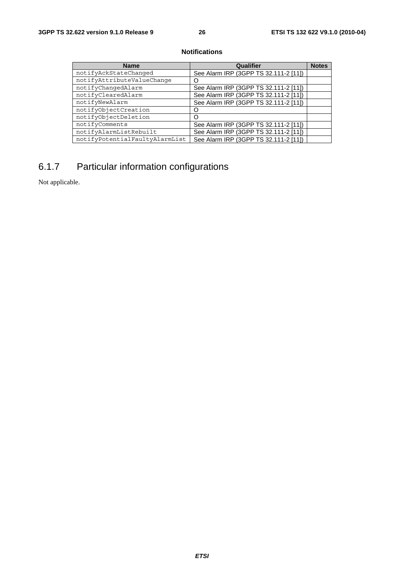#### **Notifications**

| <b>Name</b>                    | Qualifier                             | <b>Notes</b> |
|--------------------------------|---------------------------------------|--------------|
| notifyAckStateChanged          | See Alarm IRP (3GPP TS 32.111-2 [11]) |              |
| notifyAttributeValueChange     |                                       |              |
| notifyChangedAlarm             | See Alarm IRP (3GPP TS 32.111-2 [11]) |              |
| notifyClearedAlarm             | See Alarm IRP (3GPP TS 32.111-2 [11]) |              |
| notifyNewAlarm                 | See Alarm IRP (3GPP TS 32.111-2 [11]) |              |
| notifyObjectCreation           |                                       |              |
| notifyObjectDeletion           |                                       |              |
| notifyComments                 | See Alarm IRP (3GPP TS 32.111-2 [11]) |              |
| notifyAlarmListRebuilt         | See Alarm IRP (3GPP TS 32.111-2 [11]) |              |
| notifyPotentialFaultyAlarmList | See Alarm IRP (3GPP TS 32.111-2 [11]) |              |

## 6.1.7 Particular information configurations

Not applicable.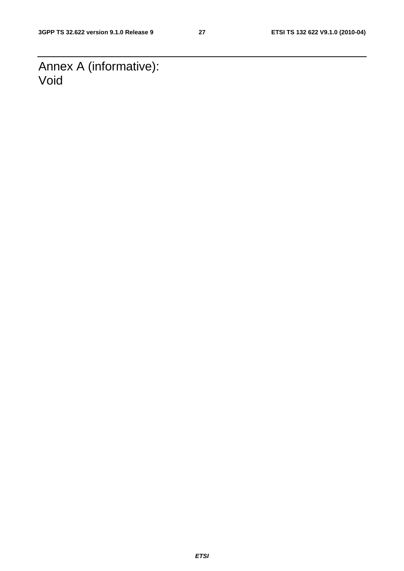Annex A (informative): Void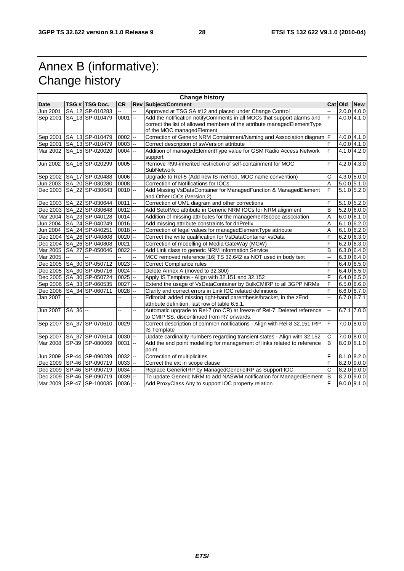# Annex B (informative): Change history

| <b>Change history</b> |              |                              |                           |    |                                                                           |                |         |                 |  |
|-----------------------|--------------|------------------------------|---------------------------|----|---------------------------------------------------------------------------|----------------|---------|-----------------|--|
| <b>Date</b>           |              | TSG # TSG Doc.               | <b>CR</b>                 |    | <b>Rev Subject/Comment</b>                                                |                | Cat Old | <b>New</b>      |  |
| Jun 2001              |              | SA_12 SP-010283              |                           |    | Approved at TSG SA #12 and placed under Change Control                    | цú.            |         | $2.0.0$ 4.0.0   |  |
| Sep 2001              |              | SA 13 SP-010479              | $0001$ --                 |    | Add the notification notifyComments in all MOCs that support alarms and   | F              |         | 4.0.0 4.1.0     |  |
|                       |              |                              |                           |    | correct the list of allowed members of the attribute managedElementType   |                |         |                 |  |
|                       |              |                              |                           |    | of the MOC managedElement                                                 |                |         |                 |  |
| Sep 2001              |              | SA_13 SP-010479              | $0002$ $-$                |    | Correction of Generic NRM Containment/Naming and Association diagram F    |                |         | $4.0.0$ $4.1.0$ |  |
| Sep 2001              |              | SA_13 SP-010479              | $0003$ $-$                |    | Correct description of swVersion attribute                                | $\overline{F}$ |         | 4.0.0 4.1.0     |  |
| Mar 2002              |              | SA_15 SP-020020              | $0004$ $-$                |    | Addition of managedElementType value for GSM Radio Access Network         | $\overline{F}$ |         | 4.1.0 4.2.0     |  |
|                       |              |                              |                           |    | support                                                                   |                |         |                 |  |
| Jun 2002              |              | SA_16 SP-020299              | $0005$ $\left  - \right $ |    | Remove R99-inherited restriction of self-containment for MOC              | F              |         | 4.2.0 4.3.0     |  |
|                       |              |                              |                           |    | SubNetwork                                                                |                |         |                 |  |
|                       |              | Sep 2002   SA 17   SP-020488 | $0006$ $-$                |    | Upgrade to Rel-5 (Add new IS method, MOC name convention)                 | $\mathsf{C}$   |         | $4.3.0$ 5.0.0   |  |
| Jun 2003              |              | SA 20 SP-030280              | $0008$ --                 |    | Correction of Notifications for IOCs                                      | $\overline{A}$ |         | $5.0.0$ $5.1.0$ |  |
| Dec 2003              |              | SA_22 SP-030643              | $0010$ --                 |    | Add Missing VsDataContainer for ManagedFunction & ManagedElement          | $\overline{F}$ |         | $5.1.0$ 5.2.0   |  |
|                       |              |                              |                           |    | and Other IOCs (Version 2)                                                |                |         |                 |  |
| Dec 2003              |              | SA_22 SP-030644              | $0011$ $-$                |    | Correction of UML diagram and other corrections                           | F              |         | $5.1.0$ $5.2.0$ |  |
|                       |              | Dec 2003   SA 22 SP-030648   | $0012$ -                  |    | Add SetofMcc attribute in Generic NRM IOCs for NRM alignment              | B              |         | $5.2.0$ 6.0.0   |  |
| Mar 2004              |              | SA_23 SP-040128              | $0014$ --                 |    | Addition of missing attributes for the managementScope association        | A              |         | 6.0.061.0       |  |
| Jun 2004              |              | SA_24 SP-040249              | $0016$ --                 |    | Add missing attribute constraints for dnPrefix                            | A              |         | 6.1.066.2.0     |  |
| Jun 2004              |              | SA_24 SP-040251              | $0018$ $-$                |    | Correction of legal values for managedElementType attribute               | Α              |         | 6.1.066.2.0     |  |
| Dec 2004              |              | SA_26 SP-040808              | $0020$ $-$                |    | Correct the write qualification for VsDataContainer.vsData                | F              |         | $6.2.0$ 6.3.0   |  |
|                       |              | Dec 2004   SA_26 SP-040808   | $0021$ --                 |    | Correction of modelling of Media GateWay (MGW)                            | F              |         | $6.2.0$ 6.3.0   |  |
| Mar 2005              |              | SA_27 SP-050046              | 0022                      | -- | Add Link class to generic NRM Information Service                         | B              |         | 6.3.0 6.4.0     |  |
| Mar 2005              | $\mathbf{u}$ |                              |                           | L. | MCC removed reference [16] TS 32.642 as NOT used in body text             | Ξ.             |         | 6.3.0 6.4.0     |  |
|                       |              | Dec 2005   SA_30 SP-050712   | $0023$ $-$                |    | Correct Compliance rules                                                  | F              |         | 6.4.065.0       |  |
|                       |              | Dec 2005   SA_30 SP-050716   | $0024$ --                 |    | Delete Annex A (moved to 32.300)                                          | F              |         | 6.4.0 6.5.0     |  |
|                       |              | Dec 2005   SA_30 SP-050724   | 0025                      | -- | Apply IS Template - Align with 32.151 and 32.152                          | F              |         | 6.4.0 6.5.0     |  |
|                       |              | Sep 2006   SA_33   SP-060535 | $0027 -$                  |    | Extend the usage of VsDataContainer by BulkCMIRP to all 3GPP NRMs         | F              |         | 6.5.066.0       |  |
| Dec 2006              |              | SA 34 SP-060711              | $0028$ $-$                |    | Clarify and correct errors in Link IOC related definitions                | F              |         | 6.6.0 6.7.0     |  |
| Jan 2007              | μ.           | --                           | L.                        | -- | Editorial: added missing right-hand parenthesis/bracket, in the zEnd      | LL.            |         | $6.7.0$ 6.7.1   |  |
|                       |              |                              |                           |    | attribute definition, last row of table 6.5.1.                            |                |         |                 |  |
| <b>Jun 2007</b>       | $SA_36$ --   |                              | цц.                       | -- | Automatic upgrade to Rel-7 (no CR) at freeze of Rel-7. Deleted reference  | Ш,             |         | $6.7.1$ $7.0.0$ |  |
|                       |              |                              |                           |    | to CMIP SS, discontinued from R7 onwards.                                 |                |         |                 |  |
| Sep 2007              |              | SA_37 SP-070610              | $0029$ $-$                |    | Correct description of common notifications - Align with Rel-8 32.151 IRP | F              |         | 7.0.0 8.0.0     |  |
|                       |              |                              |                           |    | <b>IS Template</b>                                                        |                |         |                 |  |
| Sep 2007              |              | SA_37 SP-070614              | $0030$ --                 |    | Update cardinality numbers regarding transient states - Align with 32.152 | C              |         | 7.0.0 8.0.0     |  |
| Mar 2008              |              | SP-39 SP-080069              | $0031$ --                 |    | Add the end point modelling for management of links related to reference  | B              |         | 8.0.0 8.1.0     |  |
|                       |              |                              |                           |    | point                                                                     |                |         |                 |  |
| Jun 2009              |              | SP-44 SP-090289              | $0032$ --                 |    | Correction of multiplicities                                              | F              |         | 8.1.0 8.2.0     |  |
|                       |              | Dec 2009 SP-46 SP-090719     | $0033$ $-$                |    | Correct the ext in scope clause                                           | F              |         | $8.2.0$ 9.0.0   |  |
|                       |              | Dec 2009 SP-46 SP-090719     | $0034$ --                 |    | Replace GenericIRP by ManagedGenericIRP as Support IOC                    | $\overline{c}$ |         | 8.2.0 9.0.0     |  |
|                       |              | Dec 2009   SP-46   SP-090719 | $0039$ $-$                |    | To update Generic NRM to add NASWM notification for ManagedElement        | $\sf B$        |         | $8.2.0$ 9.0.0   |  |
| Mar 2009              |              | SP-47 SP-100035              | $0036$ $-$                |    | Add ProxyClass Any to support IOC property relation                       | F              |         | $9.0.0$ $9.1.0$ |  |